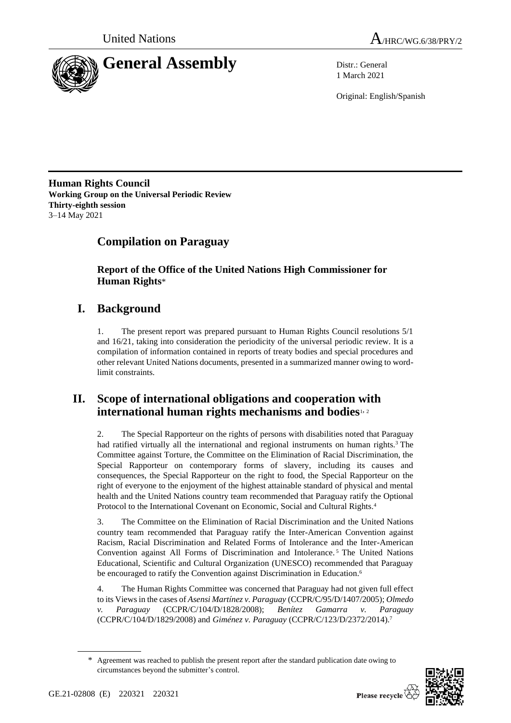



1 March 2021

Original: English/Spanish

**Human Rights Council Working Group on the Universal Periodic Review Thirty-eighth session** 3–14 May 2021

# **Compilation on Paraguay**

**Report of the Office of the United Nations High Commissioner for Human Rights**\*

# **I. Background**

1. The present report was prepared pursuant to Human Rights Council resolutions 5/1 and 16/21, taking into consideration the periodicity of the universal periodic review. It is a compilation of information contained in reports of treaty bodies and special procedures and other relevant United Nations documents, presented in a summarized manner owing to wordlimit constraints.

## **II. Scope of international obligations and cooperation with international human rights mechanisms and bodies**1, <sup>2</sup>

2. The Special Rapporteur on the rights of persons with disabilities noted that Paraguay had ratified virtually all the international and regional instruments on human rights.<sup>3</sup> The Committee against Torture, the Committee on the Elimination of Racial Discrimination, the Special Rapporteur on contemporary forms of slavery, including its causes and consequences, the Special Rapporteur on the right to food, the Special Rapporteur on the right of everyone to the enjoyment of the highest attainable standard of physical and mental health and the United Nations country team recommended that Paraguay ratify the Optional Protocol to the International Covenant on Economic, Social and Cultural Rights.<sup>4</sup>

3. The Committee on the Elimination of Racial Discrimination and the United Nations country team recommended that Paraguay ratify the Inter-American Convention against Racism, Racial Discrimination and Related Forms of Intolerance and the Inter-American Convention against All Forms of Discrimination and Intolerance. <sup>5</sup> The United Nations Educational, Scientific and Cultural Organization (UNESCO) recommended that Paraguay be encouraged to ratify the Convention against Discrimination in Education.<sup>6</sup>

4. The Human Rights Committee was concerned that Paraguay had not given full effect to its Viewsin the cases of *Asensi Martínez v. Paraguay* (CCPR/C/95/D/1407/2005); *Olmedo v. Paraguay* (CCPR/C/104/D/1828/2008); *Benítez Gamarra v. Paraguay* (CCPR/C/104/D/1829/2008) and *Giménez v. Paraguay* (CCPR/C/123/D/2372/2014).<sup>7</sup>

Agreement was reached to publish the present report after the standard publication date owing to circumstances beyond the submitter's control.

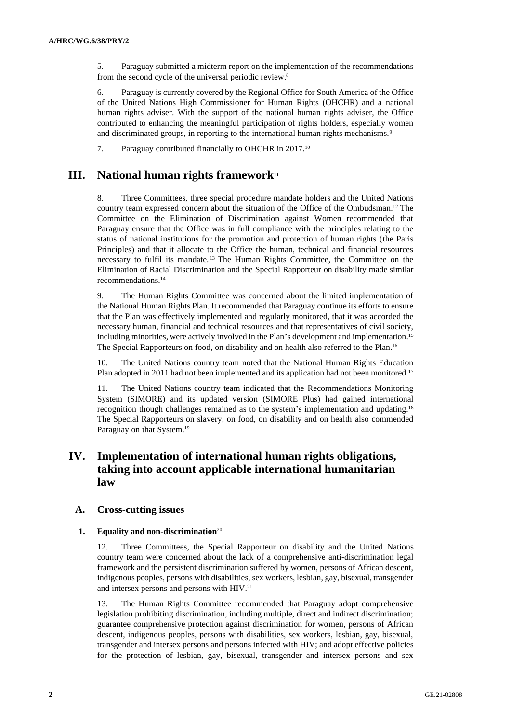5. Paraguay submitted a midterm report on the implementation of the recommendations from the second cycle of the universal periodic review. 8

6. Paraguay is currently covered by the Regional Office for South America of the Office of the United Nations High Commissioner for Human Rights (OHCHR) and a national human rights adviser. With the support of the national human rights adviser, the Office contributed to enhancing the meaningful participation of rights holders, especially women and discriminated groups, in reporting to the international human rights mechanisms.<sup>9</sup>

7. Paraguay contributed financially to OHCHR in 2017.<sup>10</sup>

## **III. National human rights framework<sup>11</sup>**

8. Three Committees, three special procedure mandate holders and the United Nations country team expressed concern about the situation of the Office of the Ombudsman.<sup>12</sup> The Committee on the Elimination of Discrimination against Women recommended that Paraguay ensure that the Office was in full compliance with the principles relating to the status of national institutions for the promotion and protection of human rights (the Paris Principles) and that it allocate to the Office the human, technical and financial resources necessary to fulfil its mandate. <sup>13</sup> The Human Rights Committee, the Committee on the Elimination of Racial Discrimination and the Special Rapporteur on disability made similar recommendations.<sup>14</sup>

9. The Human Rights Committee was concerned about the limited implementation of the National Human Rights Plan. It recommended that Paraguay continue its efforts to ensure that the Plan was effectively implemented and regularly monitored, that it was accorded the necessary human, financial and technical resources and that representatives of civil society, including minorities, were actively involved in the Plan's development and implementation. 15 The Special Rapporteurs on food, on disability and on health also referred to the Plan. 16

10. The United Nations country team noted that the National Human Rights Education Plan adopted in 2011 had not been implemented and its application had not been monitored.<sup>17</sup>

11. The United Nations country team indicated that the Recommendations Monitoring System (SIMORE) and its updated version (SIMORE Plus) had gained international recognition though challenges remained as to the system's implementation and updating.<sup>18</sup> The Special Rapporteurs on slavery, on food, on disability and on health also commended Paraguay on that System.<sup>19</sup>

## **IV. Implementation of international human rights obligations, taking into account applicable international humanitarian law**

## **A. Cross-cutting issues**

### **1. Equality and non-discrimination**<sup>20</sup>

12. Three Committees, the Special Rapporteur on disability and the United Nations country team were concerned about the lack of a comprehensive anti-discrimination legal framework and the persistent discrimination suffered by women, persons of African descent, indigenous peoples, persons with disabilities, sex workers, lesbian, gay, bisexual, transgender and intersex persons and persons with HIV.<sup>21</sup>

13. The Human Rights Committee recommended that Paraguay adopt comprehensive legislation prohibiting discrimination, including multiple, direct and indirect discrimination; guarantee comprehensive protection against discrimination for women, persons of African descent, indigenous peoples, persons with disabilities, sex workers, lesbian, gay, bisexual, transgender and intersex persons and persons infected with HIV; and adopt effective policies for the protection of lesbian, gay, bisexual, transgender and intersex persons and sex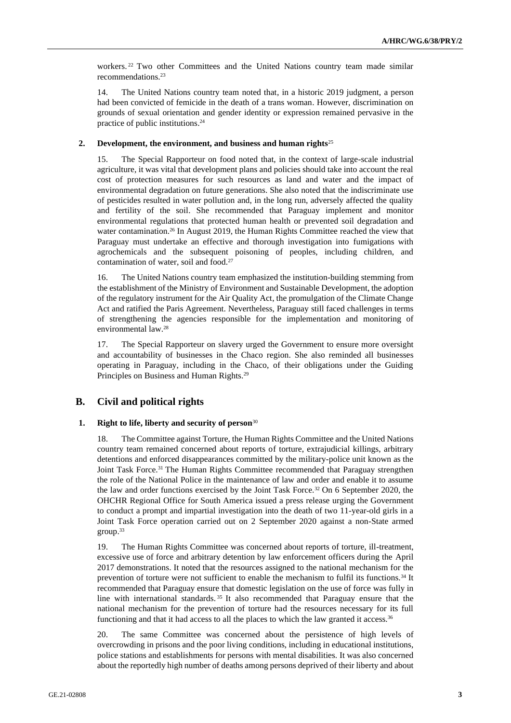workers. <sup>22</sup> Two other Committees and the United Nations country team made similar recommendations.<sup>23</sup>

14. The United Nations country team noted that, in a historic 2019 judgment, a person had been convicted of femicide in the death of a trans woman. However, discrimination on grounds of sexual orientation and gender identity or expression remained pervasive in the practice of public institutions. 24

## **2. Development, the environment, and business and human rights**<sup>25</sup>

15. The Special Rapporteur on food noted that, in the context of large-scale industrial agriculture, it was vital that development plans and policies should take into account the real cost of protection measures for such resources as land and water and the impact of environmental degradation on future generations. She also noted that the indiscriminate use of pesticides resulted in water pollution and, in the long run, adversely affected the quality and fertility of the soil. She recommended that Paraguay implement and monitor environmental regulations that protected human health or prevented soil degradation and water contamination.<sup>26</sup> In August 2019, the Human Rights Committee reached the view that Paraguay must undertake an effective and thorough investigation into fumigations with agrochemicals and the subsequent poisoning of peoples, including children, and contamination of water, soil and food.<sup>27</sup>

16. The United Nations country team emphasized the institution-building stemming from the establishment of the Ministry of Environment and Sustainable Development, the adoption of the regulatory instrument for the Air Quality Act, the promulgation of the Climate Change Act and ratified the Paris Agreement. Nevertheless, Paraguay still faced challenges in terms of strengthening the agencies responsible for the implementation and monitoring of environmental law.<sup>28</sup>

17. The Special Rapporteur on slavery urged the Government to ensure more oversight and accountability of businesses in the Chaco region. She also reminded all businesses operating in Paraguay, including in the Chaco, of their obligations under the Guiding Principles on Business and Human Rights.<sup>29</sup>

## **B. Civil and political rights**

### **1. Right to life, liberty and security of person**<sup>30</sup>

18. The Committee against Torture, the Human Rights Committee and the United Nations country team remained concerned about reports of torture, extrajudicial killings, arbitrary detentions and enforced disappearances committed by the military-police unit known as the Joint Task Force.<sup>31</sup> The Human Rights Committee recommended that Paraguay strengthen the role of the National Police in the maintenance of law and order and enable it to assume the law and order functions exercised by the Joint Task Force.<sup>32</sup> On 6 September 2020, the OHCHR Regional Office for South America issued a press release urging the Government to conduct a prompt and impartial investigation into the death of two 11-year-old girls in a Joint Task Force operation carried out on 2 September 2020 against a non-State armed group. 33

19. The Human Rights Committee was concerned about reports of torture, ill-treatment, excessive use of force and arbitrary detention by law enforcement officers during the April 2017 demonstrations. It noted that the resources assigned to the national mechanism for the prevention of torture were not sufficient to enable the mechanism to fulfil its functions.<sup>34</sup> It recommended that Paraguay ensure that domestic legislation on the use of force was fully in line with international standards. <sup>35</sup> It also recommended that Paraguay ensure that the national mechanism for the prevention of torture had the resources necessary for its full functioning and that it had access to all the places to which the law granted it access.<sup>36</sup>

20. The same Committee was concerned about the persistence of high levels of overcrowding in prisons and the poor living conditions, including in educational institutions, police stations and establishments for persons with mental disabilities. It was also concerned about the reportedly high number of deaths among persons deprived of their liberty and about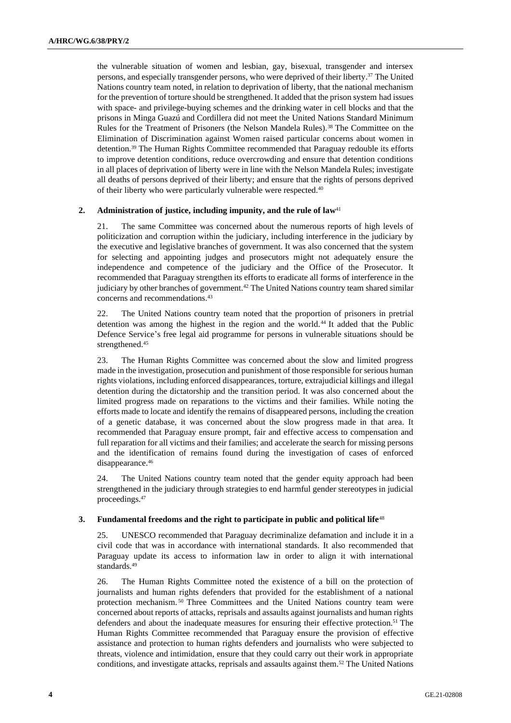the vulnerable situation of women and lesbian, gay, bisexual, transgender and intersex persons, and especially transgender persons, who were deprived of their liberty. <sup>37</sup> The United Nations country team noted, in relation to deprivation of liberty, that the national mechanism for the prevention of torture should be strengthened. It added that the prison system had issues with space- and privilege-buying schemes and the drinking water in cell blocks and that the prisons in Minga Guazú and Cordillera did not meet the United Nations Standard Minimum Rules for the Treatment of Prisoners (the Nelson Mandela Rules).<sup>38</sup> The Committee on the Elimination of Discrimination against Women raised particular concerns about women in detention.<sup>39</sup> The Human Rights Committee recommended that Paraguay redouble its efforts to improve detention conditions, reduce overcrowding and ensure that detention conditions in all places of deprivation of liberty were in line with the Nelson Mandela Rules; investigate all deaths of persons deprived of their liberty; and ensure that the rights of persons deprived of their liberty who were particularly vulnerable were respected.<sup>40</sup>

## **2. Administration of justice, including impunity, and the rule of law<sup>41</sup>**

21. The same Committee was concerned about the numerous reports of high levels of politicization and corruption within the judiciary, including interference in the judiciary by the executive and legislative branches of government. It was also concerned that the system for selecting and appointing judges and prosecutors might not adequately ensure the independence and competence of the judiciary and the Office of the Prosecutor. It recommended that Paraguay strengthen its efforts to eradicate all forms of interference in the judiciary by other branches of government.<sup>42</sup> The United Nations country team shared similar concerns and recommendations.<sup>43</sup>

22. The United Nations country team noted that the proportion of prisoners in pretrial detention was among the highest in the region and the world.<sup>44</sup> It added that the Public Defence Service's free legal aid programme for persons in vulnerable situations should be strengthened.<sup>45</sup>

23. The Human Rights Committee was concerned about the slow and limited progress made in the investigation, prosecution and punishment of those responsible for serious human rights violations, including enforced disappearances, torture, extrajudicial killings and illegal detention during the dictatorship and the transition period. It was also concerned about the limited progress made on reparations to the victims and their families. While noting the efforts made to locate and identify the remains of disappeared persons, including the creation of a genetic database, it was concerned about the slow progress made in that area. It recommended that Paraguay ensure prompt, fair and effective access to compensation and full reparation for all victims and their families; and accelerate the search for missing persons and the identification of remains found during the investigation of cases of enforced disappearance.<sup>46</sup>

24. The United Nations country team noted that the gender equity approach had been strengthened in the judiciary through strategies to end harmful gender stereotypes in judicial proceedings.<sup>47</sup>

### **3. Fundamental freedoms and the right to participate in public and political life**<sup>48</sup>

25. UNESCO recommended that Paraguay decriminalize defamation and include it in a civil code that was in accordance with international standards. It also recommended that Paraguay update its access to information law in order to align it with international standards.<sup>49</sup>

26. The Human Rights Committee noted the existence of a bill on the protection of journalists and human rights defenders that provided for the establishment of a national protection mechanism. <sup>50</sup> Three Committees and the United Nations country team were concerned about reports of attacks, reprisals and assaults against journalists and human rights defenders and about the inadequate measures for ensuring their effective protection.<sup>51</sup> The Human Rights Committee recommended that Paraguay ensure the provision of effective assistance and protection to human rights defenders and journalists who were subjected to threats, violence and intimidation, ensure that they could carry out their work in appropriate conditions, and investigate attacks, reprisals and assaults against them. <sup>52</sup> The United Nations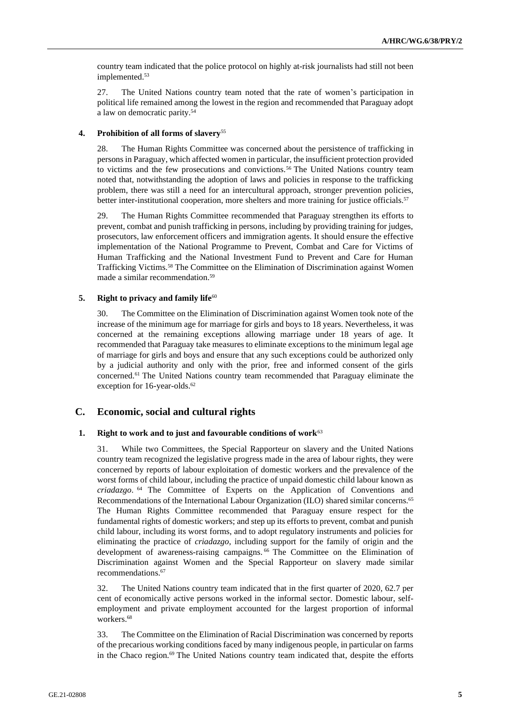country team indicated that the police protocol on highly at-risk journalists had still not been implemented.<sup>53</sup>

27. The United Nations country team noted that the rate of women's participation in political life remained among the lowest in the region and recommended that Paraguay adopt a law on democratic parity.<sup>54</sup>

## **4. Prohibition of all forms of slavery**<sup>55</sup>

28. The Human Rights Committee was concerned about the persistence of trafficking in persons in Paraguay, which affected women in particular, the insufficient protection provided to victims and the few prosecutions and convictions.<sup>56</sup> The United Nations country team noted that, notwithstanding the adoption of laws and policies in response to the trafficking problem, there was still a need for an intercultural approach, stronger prevention policies, better inter-institutional cooperation, more shelters and more training for justice officials.<sup>57</sup>

29. The Human Rights Committee recommended that Paraguay strengthen its efforts to prevent, combat and punish trafficking in persons, including by providing training for judges, prosecutors, law enforcement officers and immigration agents. It should ensure the effective implementation of the National Programme to Prevent, Combat and Care for Victims of Human Trafficking and the National Investment Fund to Prevent and Care for Human Trafficking Victims.<sup>58</sup> The Committee on the Elimination of Discrimination against Women made a similar recommendation.<sup>59</sup>

### **5. Right to privacy and family life**<sup>60</sup>

30. The Committee on the Elimination of Discrimination against Women took note of the increase of the minimum age for marriage for girls and boys to 18 years. Nevertheless, it was concerned at the remaining exceptions allowing marriage under 18 years of age. It recommended that Paraguay take measures to eliminate exceptions to the minimum legal age of marriage for girls and boys and ensure that any such exceptions could be authorized only by a judicial authority and only with the prior, free and informed consent of the girls concerned.<sup>61</sup> The United Nations country team recommended that Paraguay eliminate the exception for 16-year-olds.<sup>62</sup>

## **C. Economic, social and cultural rights**

## **1. Right to work and to just and favourable conditions of work**<sup>63</sup>

31. While two Committees, the Special Rapporteur on slavery and the United Nations country team recognized the legislative progress made in the area of labour rights, they were concerned by reports of labour exploitation of domestic workers and the prevalence of the worst forms of child labour, including the practice of unpaid domestic child labour known as *criadazgo*. <sup>64</sup> The Committee of Experts on the Application of Conventions and Recommendations of the International Labour Organization (ILO) shared similar concerns.<sup>65</sup> The Human Rights Committee recommended that Paraguay ensure respect for the fundamental rights of domestic workers; and step up its efforts to prevent, combat and punish child labour, including its worst forms, and to adopt regulatory instruments and policies for eliminating the practice of *criadazgo*, including support for the family of origin and the development of awareness-raising campaigns. <sup>66</sup> The Committee on the Elimination of Discrimination against Women and the Special Rapporteur on slavery made similar recommendations. 67

32. The United Nations country team indicated that in the first quarter of 2020, 62.7 per cent of economically active persons worked in the informal sector. Domestic labour, selfemployment and private employment accounted for the largest proportion of informal workers.<sup>68</sup>

33. The Committee on the Elimination of Racial Discrimination was concerned by reports of the precarious working conditions faced by many indigenous people, in particular on farms in the Chaco region.<sup>69</sup> The United Nations country team indicated that, despite the efforts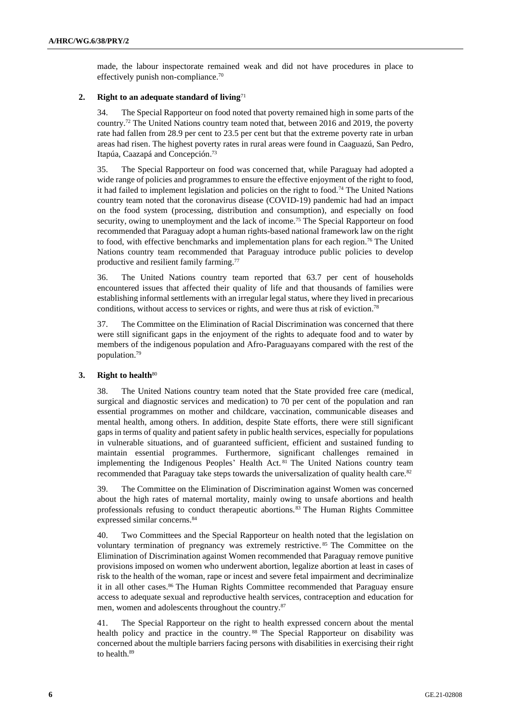made, the labour inspectorate remained weak and did not have procedures in place to effectively punish non-compliance.<sup>70</sup>

## **2. Right to an adequate standard of living**<sup>71</sup>

34. The Special Rapporteur on food noted that poverty remained high in some parts of the country.<sup>72</sup> The United Nations country team noted that, between 2016 and 2019, the poverty rate had fallen from 28.9 per cent to 23.5 per cent but that the extreme poverty rate in urban areas had risen. The highest poverty rates in rural areas were found in Caaguazú, San Pedro, Itapúa, Caazapá and Concepción. 73

35. The Special Rapporteur on food was concerned that, while Paraguay had adopted a wide range of policies and programmes to ensure the effective enjoyment of the right to food, it had failed to implement legislation and policies on the right to food.<sup>74</sup> The United Nations country team noted that the coronavirus disease (COVID-19) pandemic had had an impact on the food system (processing, distribution and consumption), and especially on food security, owing to unemployment and the lack of income.<sup>75</sup> The Special Rapporteur on food recommended that Paraguay adopt a human rights-based national framework law on the right to food, with effective benchmarks and implementation plans for each region.<sup>76</sup> The United Nations country team recommended that Paraguay introduce public policies to develop productive and resilient family farming.<sup>77</sup>

36. The United Nations country team reported that 63.7 per cent of households encountered issues that affected their quality of life and that thousands of families were establishing informal settlements with an irregular legal status, where they lived in precarious conditions, without access to services or rights, and were thus at risk of eviction.<sup>78</sup>

37. The Committee on the Elimination of Racial Discrimination was concerned that there were still significant gaps in the enjoyment of the rights to adequate food and to water by members of the indigenous population and Afro-Paraguayans compared with the rest of the population. 79

## **3. Right to health**<sup>80</sup>

38. The United Nations country team noted that the State provided free care (medical, surgical and diagnostic services and medication) to 70 per cent of the population and ran essential programmes on mother and childcare, vaccination, communicable diseases and mental health, among others. In addition, despite State efforts, there were still significant gaps in terms of quality and patient safety in public health services, especially for populations in vulnerable situations, and of guaranteed sufficient, efficient and sustained funding to maintain essential programmes. Furthermore, significant challenges remained in implementing the Indigenous Peoples' Health Act. <sup>81</sup> The United Nations country team recommended that Paraguay take steps towards the universalization of quality health care.<sup>82</sup>

39. The Committee on the Elimination of Discrimination against Women was concerned about the high rates of maternal mortality, mainly owing to unsafe abortions and health professionals refusing to conduct therapeutic abortions.<sup>83</sup> The Human Rights Committee expressed similar concerns.<sup>84</sup>

40. Two Committees and the Special Rapporteur on health noted that the legislation on voluntary termination of pregnancy was extremely restrictive. <sup>85</sup> The Committee on the Elimination of Discrimination against Women recommended that Paraguay remove punitive provisions imposed on women who underwent abortion, legalize abortion at least in cases of risk to the health of the woman, rape or incest and severe fetal impairment and decriminalize it in all other cases.<sup>86</sup> The Human Rights Committee recommended that Paraguay ensure access to adequate sexual and reproductive health services, contraception and education for men, women and adolescents throughout the country.<sup>87</sup>

41. The Special Rapporteur on the right to health expressed concern about the mental health policy and practice in the country.<sup>88</sup> The Special Rapporteur on disability was concerned about the multiple barriers facing persons with disabilities in exercising their right to health.89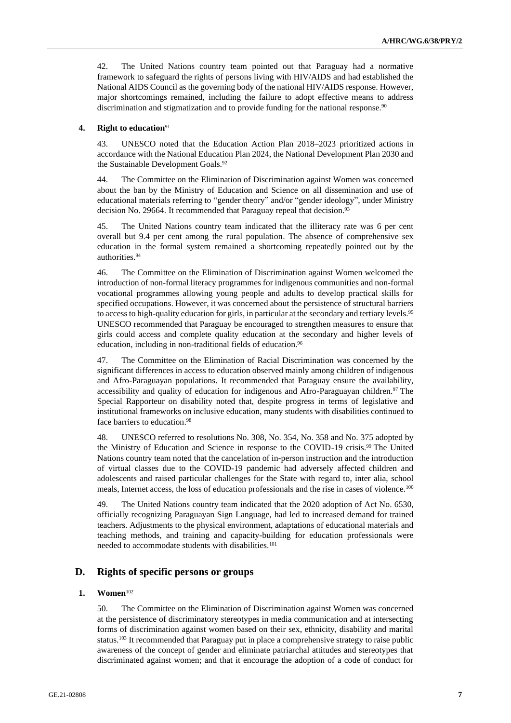42. The United Nations country team pointed out that Paraguay had a normative framework to safeguard the rights of persons living with HIV/AIDS and had established the National AIDS Council as the governing body of the national HIV/AIDS response. However, major shortcomings remained, including the failure to adopt effective means to address discrimination and stigmatization and to provide funding for the national response.<sup>90</sup>

## **4. Right to education**<sup>91</sup>

43. UNESCO noted that the Education Action Plan 2018–2023 prioritized actions in accordance with the National Education Plan 2024, the National Development Plan 2030 and the Sustainable Development Goals.<sup>92</sup>

44. The Committee on the Elimination of Discrimination against Women was concerned about the ban by the Ministry of Education and Science on all dissemination and use of educational materials referring to "gender theory" and/or "gender ideology", under Ministry decision No. 29664. It recommended that Paraguay repeal that decision.<sup>93</sup>

45. The United Nations country team indicated that the illiteracy rate was 6 per cent overall but 9.4 per cent among the rural population. The absence of comprehensive sex education in the formal system remained a shortcoming repeatedly pointed out by the authorities. 94

46. The Committee on the Elimination of Discrimination against Women welcomed the introduction of non-formal literacy programmes for indigenous communities and non-formal vocational programmes allowing young people and adults to develop practical skills for specified occupations. However, it was concerned about the persistence of structural barriers to access to high-quality education for girls, in particular at the secondary and tertiary levels.<sup>95</sup> UNESCO recommended that Paraguay be encouraged to strengthen measures to ensure that girls could access and complete quality education at the secondary and higher levels of education, including in non-traditional fields of education.<sup>96</sup>

47. The Committee on the Elimination of Racial Discrimination was concerned by the significant differences in access to education observed mainly among children of indigenous and Afro-Paraguayan populations. It recommended that Paraguay ensure the availability, accessibility and quality of education for indigenous and Afro-Paraguayan children.<sup>97</sup> The Special Rapporteur on disability noted that, despite progress in terms of legislative and institutional frameworks on inclusive education, many students with disabilities continued to face barriers to education. 98

48. UNESCO referred to resolutions No. 308, No. 354, No. 358 and No. 375 adopted by the Ministry of Education and Science in response to the COVID-19 crisis.<sup>99</sup> The United Nations country team noted that the cancelation of in-person instruction and the introduction of virtual classes due to the COVID-19 pandemic had adversely affected children and adolescents and raised particular challenges for the State with regard to, inter alia, school meals, Internet access, the loss of education professionals and the rise in cases of violence.<sup>100</sup>

49. The United Nations country team indicated that the 2020 adoption of Act No. 6530, officially recognizing Paraguayan Sign Language, had led to increased demand for trained teachers. Adjustments to the physical environment, adaptations of educational materials and teaching methods, and training and capacity-building for education professionals were needed to accommodate students with disabilities.<sup>101</sup>

## **D. Rights of specific persons or groups**

## **1. Women**<sup>102</sup>

50. The Committee on the Elimination of Discrimination against Women was concerned at the persistence of discriminatory stereotypes in media communication and at intersecting forms of discrimination against women based on their sex, ethnicity, disability and marital status.<sup>103</sup> It recommended that Paraguay put in place a comprehensive strategy to raise public awareness of the concept of gender and eliminate patriarchal attitudes and stereotypes that discriminated against women; and that it encourage the adoption of a code of conduct for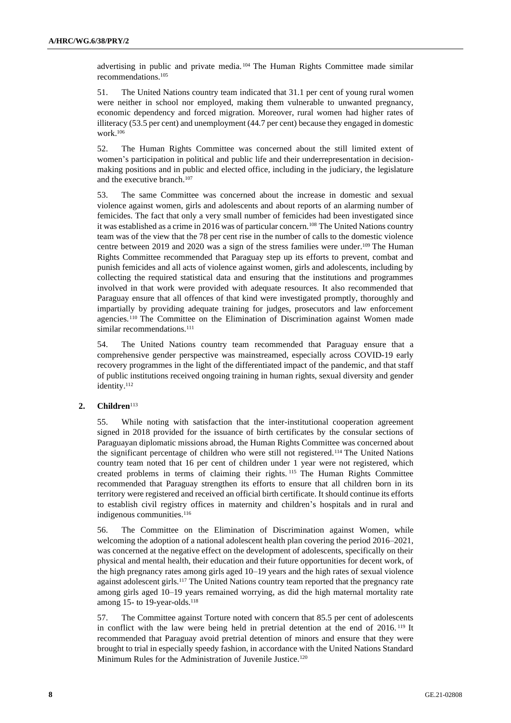advertising in public and private media. <sup>104</sup> The Human Rights Committee made similar recommendations.<sup>105</sup>

51. The United Nations country team indicated that 31.1 per cent of young rural women were neither in school nor employed, making them vulnerable to unwanted pregnancy, economic dependency and forced migration. Moreover, rural women had higher rates of illiteracy (53.5 per cent) and unemployment (44.7 per cent) because they engaged in domestic work.<sup>106</sup>

52. The Human Rights Committee was concerned about the still limited extent of women's participation in political and public life and their underrepresentation in decisionmaking positions and in public and elected office, including in the judiciary, the legislature and the executive branch.<sup>107</sup>

53. The same Committee was concerned about the increase in domestic and sexual violence against women, girls and adolescents and about reports of an alarming number of femicides. The fact that only a very small number of femicides had been investigated since it was established as a crime in 2016 was of particular concern.<sup>108</sup> The United Nations country team was of the view that the 78 per cent rise in the number of calls to the domestic violence centre between 2019 and 2020 was a sign of the stress families were under.<sup>109</sup> The Human Rights Committee recommended that Paraguay step up its efforts to prevent, combat and punish femicides and all acts of violence against women, girls and adolescents, including by collecting the required statistical data and ensuring that the institutions and programmes involved in that work were provided with adequate resources. It also recommended that Paraguay ensure that all offences of that kind were investigated promptly, thoroughly and impartially by providing adequate training for judges, prosecutors and law enforcement agencies. <sup>110</sup> The Committee on the Elimination of Discrimination against Women made similar recommendations.<sup>111</sup>

54. The United Nations country team recommended that Paraguay ensure that a comprehensive gender perspective was mainstreamed, especially across COVID-19 early recovery programmes in the light of the differentiated impact of the pandemic, and that staff of public institutions received ongoing training in human rights, sexual diversity and gender identity.<sup>112</sup>

## 2. **Children**<sup>113</sup>

55. While noting with satisfaction that the inter-institutional cooperation agreement signed in 2018 provided for the issuance of birth certificates by the consular sections of Paraguayan diplomatic missions abroad, the Human Rights Committee was concerned about the significant percentage of children who were still not registered.<sup>114</sup> The United Nations country team noted that 16 per cent of children under 1 year were not registered, which created problems in terms of claiming their rights. <sup>115</sup> The Human Rights Committee recommended that Paraguay strengthen its efforts to ensure that all children born in its territory were registered and received an official birth certificate. It should continue its efforts to establish civil registry offices in maternity and children's hospitals and in rural and indigenous communities.<sup>116</sup>

56. The Committee on the Elimination of Discrimination against Women, while welcoming the adoption of a national adolescent health plan covering the period 2016–2021, was concerned at the negative effect on the development of adolescents, specifically on their physical and mental health, their education and their future opportunities for decent work, of the high pregnancy rates among girls aged 10–19 years and the high rates of sexual violence against adolescent girls.<sup>117</sup> The United Nations country team reported that the pregnancy rate among girls aged 10–19 years remained worrying, as did the high maternal mortality rate among 15- to 19-year-olds. $118$ 

57. The Committee against Torture noted with concern that 85.5 per cent of adolescents in conflict with the law were being held in pretrial detention at the end of 2016. <sup>119</sup> It recommended that Paraguay avoid pretrial detention of minors and ensure that they were brought to trial in especially speedy fashion, in accordance with the United Nations Standard Minimum Rules for the Administration of Juvenile Justice.<sup>120</sup>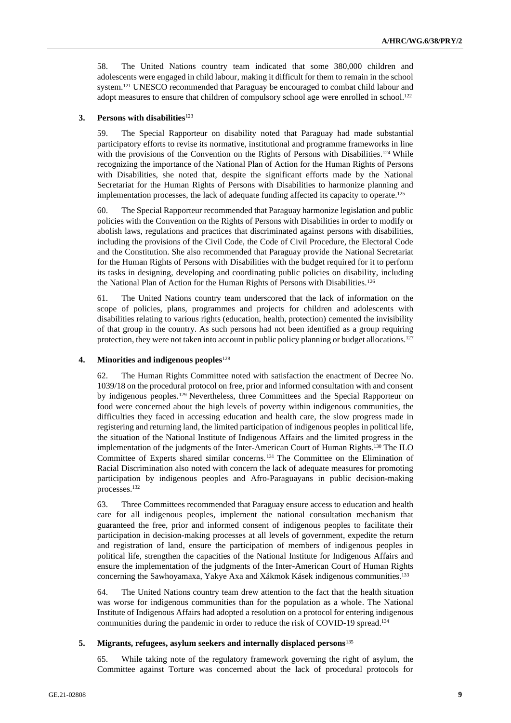58. The United Nations country team indicated that some 380,000 children and adolescents were engaged in child labour, making it difficult for them to remain in the school system.<sup>121</sup> UNESCO recommended that Paraguay be encouraged to combat child labour and adopt measures to ensure that children of compulsory school age were enrolled in school.<sup>122</sup>

## **3.** Persons with disabilities<sup>123</sup>

59. The Special Rapporteur on disability noted that Paraguay had made substantial participatory efforts to revise its normative, institutional and programme frameworks in line with the provisions of the Convention on the Rights of Persons with Disabilities.<sup>124</sup> While recognizing the importance of the National Plan of Action for the Human Rights of Persons with Disabilities, she noted that, despite the significant efforts made by the National Secretariat for the Human Rights of Persons with Disabilities to harmonize planning and implementation processes, the lack of adequate funding affected its capacity to operate.<sup>125</sup>

60. The Special Rapporteur recommended that Paraguay harmonize legislation and public policies with the Convention on the Rights of Persons with Disabilities in order to modify or abolish laws, regulations and practices that discriminated against persons with disabilities, including the provisions of the Civil Code, the Code of Civil Procedure, the Electoral Code and the Constitution. She also recommended that Paraguay provide the National Secretariat for the Human Rights of Persons with Disabilities with the budget required for it to perform its tasks in designing, developing and coordinating public policies on disability, including the National Plan of Action for the Human Rights of Persons with Disabilities.<sup>126</sup>

61. The United Nations country team underscored that the lack of information on the scope of policies, plans, programmes and projects for children and adolescents with disabilities relating to various rights (education, health, protection) cemented the invisibility of that group in the country. As such persons had not been identified as a group requiring protection, they were not taken into account in public policy planning or budget allocations.<sup>127</sup>

## **4. Minorities and indigenous peoples**<sup>128</sup>

62. The Human Rights Committee noted with satisfaction the enactment of Decree No. 1039/18 on the procedural protocol on free, prior and informed consultation with and consent by indigenous peoples.<sup>129</sup> Nevertheless, three Committees and the Special Rapporteur on food were concerned about the high levels of poverty within indigenous communities, the difficulties they faced in accessing education and health care, the slow progress made in registering and returning land, the limited participation of indigenous peoples in political life, the situation of the National Institute of Indigenous Affairs and the limited progress in the implementation of the judgments of the Inter-American Court of Human Rights.<sup>130</sup> The ILO Committee of Experts shared similar concerns. <sup>131</sup> The Committee on the Elimination of Racial Discrimination also noted with concern the lack of adequate measures for promoting participation by indigenous peoples and Afro-Paraguayans in public decision-making processes. 132

63. Three Committees recommended that Paraguay ensure access to education and health care for all indigenous peoples, implement the national consultation mechanism that guaranteed the free, prior and informed consent of indigenous peoples to facilitate their participation in decision-making processes at all levels of government, expedite the return and registration of land, ensure the participation of members of indigenous peoples in political life, strengthen the capacities of the National Institute for Indigenous Affairs and ensure the implementation of the judgments of the Inter-American Court of Human Rights concerning the Sawhoyamaxa, Yakye Axa and Xákmok Kásek indigenous communities.<sup>133</sup>

64. The United Nations country team drew attention to the fact that the health situation was worse for indigenous communities than for the population as a whole. The National Institute of Indigenous Affairs had adopted a resolution on a protocol for entering indigenous communities during the pandemic in order to reduce the risk of COVID-19 spread.<sup>134</sup>

## **5. Migrants, refugees, asylum seekers and internally displaced persons**<sup>135</sup>

65. While taking note of the regulatory framework governing the right of asylum, the Committee against Torture was concerned about the lack of procedural protocols for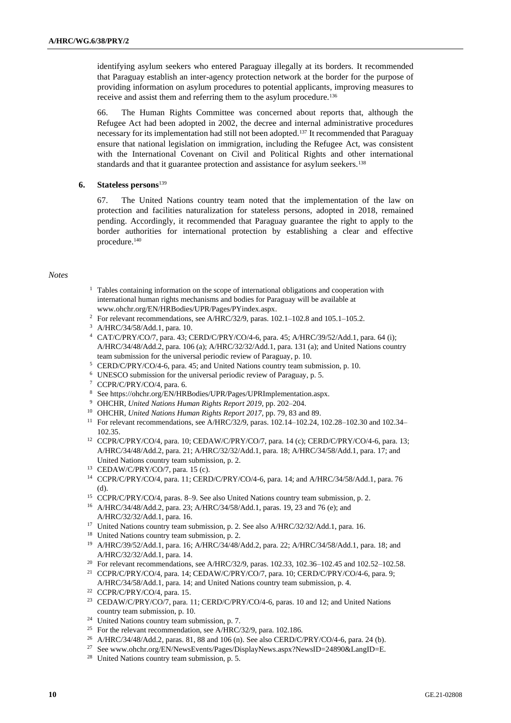identifying asylum seekers who entered Paraguay illegally at its borders. It recommended that Paraguay establish an inter-agency protection network at the border for the purpose of providing information on asylum procedures to potential applicants, improving measures to receive and assist them and referring them to the asylum procedure.<sup>136</sup>

66. The Human Rights Committee was concerned about reports that, although the Refugee Act had been adopted in 2002, the decree and internal administrative procedures necessary for its implementation had still not been adopted.<sup>137</sup> It recommended that Paraguay ensure that national legislation on immigration, including the Refugee Act, was consistent with the International Covenant on Civil and Political Rights and other international standards and that it guarantee protection and assistance for asylum seekers.<sup>138</sup>

## **6. Stateless persons**<sup>139</sup>

67. The United Nations country team noted that the implementation of the law on protection and facilities naturalization for stateless persons, adopted in 2018, remained pending. Accordingly, it recommended that Paraguay guarantee the right to apply to the border authorities for international protection by establishing a clear and effective procedure.<sup>140</sup>

#### *Notes*

- <sup>1</sup> Tables containing information on the scope of international obligations and cooperation with international human rights mechanisms and bodies for Paraguay will be available at [www.ohchr.org/EN/HRBodies/UPR/Pages/PYindex.aspx.](https://unitednations-my.sharepoint.com/personal/philippa_fletcher_un_org/Documents/Documents/CURRENT%20DOX/www.ohchr.org/EN/HRBodies/UPR/Pages/PYindex.aspx)
- <sup>2</sup> For relevant recommendations, see A/HRC/32/9, paras. 102.1–102.8 and 105.1–105.2.
- <sup>3</sup> A/HRC/34/58/Add.1, para. 10.
- <sup>4</sup> CAT/C/PRY/CO/7, para. 43; CERD/C/PRY/CO/4-6, para. 45; A/HRC/39/52/Add.1, para. 64 (i); A/HRC/34/48/Add.2, para. 106 (a); A/HRC/32/32/Add.1, para. 131 (a); and United Nations country team submission for the universal periodic review of Paraguay, p. 10.
- <sup>5</sup> CERD/C/PRY/CO/4-6, para. 45; and United Nations country team submission, p. 10.
- <sup>6</sup> UNESCO submission for the universal periodic review of Paraguay, p. 5.
- <sup>7</sup> CCPR/C/PRY/CO/4, para. 6.
- <sup>8</sup> See https://ohchr.org/EN/HRBodies/UPR/Pages/UPRImplementation.aspx.
- <sup>9</sup> OHCHR, *United Nations Human Rights Report 2019*, pp. 202–204.
- <sup>10</sup> OHCHR, *United Nations Human Rights Report 2017*, pp. 79, 83 and 89.
- <sup>11</sup> For relevant recommendations, see A/HRC/32/9, paras. 102.14–102.24, 102.28–102.30 and 102.34– 102.35.
- <sup>12</sup> CCPR/C/PRY/CO/4, para. 10; CEDAW/C/PRY/CO/7, para. 14 (c); CERD/C/PRY/CO/4-6, para. 13; A/HRC/34/48/Add.2, para. 21; A/HRC/32/32/Add.1, para. 18; A/HRC/34/58/Add.1, para. 17; and United Nations country team submission, p. 2.
- <sup>13</sup> CEDAW/C/PRY/CO/7, para. 15 (c).
- <sup>14</sup> CCPR/C/PRY/CO/4, para. 11; CERD/C/PRY/CO/4-6, para. 14; and A/HRC/34/58/Add.1, para. 76 (d).
- <sup>15</sup> CCPR/C/PRY/CO/4, paras. 8–9. See also United Nations country team submission, p. 2.
- <sup>16</sup> A/HRC/34/48/Add.2, para. 23; A/HRC/34/58/Add.1, paras. 19, 23 and 76 (e); and A/HRC/32/32/Add.1, para. 16.
- <sup>17</sup> United Nations country team submission, p. 2. See also A/HRC/32/32/Add.1, para. 16.
- <sup>18</sup> United Nations country team submission, p. 2.
- <sup>19</sup> A/HRC/39/52/Add.1, para. 16; A/HRC/34/48/Add.2, para. 22; A/HRC/34/58/Add.1, para. 18; and A/HRC/32/32/Add.1, para. 14.
- <sup>20</sup> For relevant recommendations, see A/HRC/32/9, paras. 102.33, 102.36-102.45 and 102.52-102.58.
- <sup>21</sup> CCPR/C/PRY/CO/4, para. 14; CEDAW/C/PRY/CO/7, para. 10; CERD/C/PRY/CO/4-6, para. 9; A/HRC/34/58/Add.1, para. 14; and United Nations country team submission, p. 4.
- <sup>22</sup> CCPR/C/PRY/CO/4, para. 15.
- <sup>23</sup> CEDAW/C/PRY/CO/7, para. 11; CERD/C/PRY/CO/4-6, paras. 10 and 12; and United Nations country team submission, p. 10.
- <sup>24</sup> United Nations country team submission, p. 7.
- <sup>25</sup> For the relevant recommendation, see A/HRC/32/9, para. 102.186.
- <sup>26</sup> A/HRC/34/48/Add.2, paras. 81, 88 and 106 (n). See also CERD/C/PRY/CO/4-6, para. 24 (b).
- <sup>27</sup> See www.ohchr.org/EN/NewsEvents/Pages/DisplayNews.aspx?NewsID=24890&LangID=E.
- <sup>28</sup> United Nations country team submission, p. 5.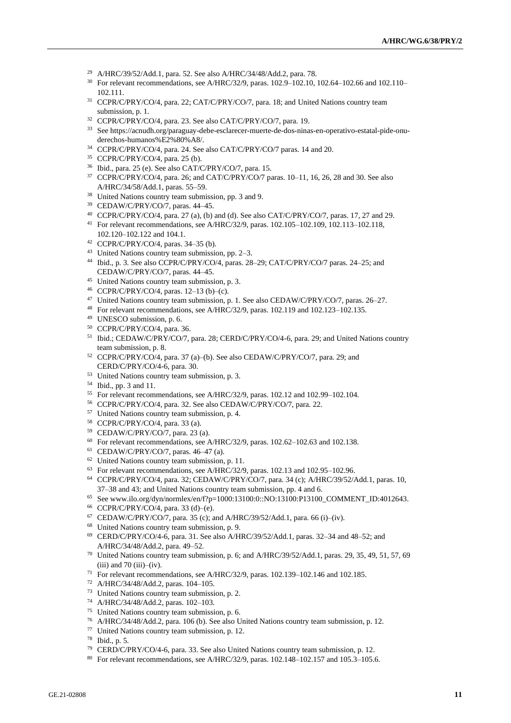- A/HRC/39/52/Add.1, para. 52. See also A/HRC/34/48/Add.2, para. 78.
- For relevant recommendations, see A/HRC/32/9, paras. 102.9–102.10, 102.64–102.66 and 102.110– 102.111.
- CCPR/C/PRY/CO/4, para. 22; CAT/C/PRY/CO/7, para. 18; and United Nations country team submission, p. 1.
- CCPR/C/PRY/CO/4, para. 23. See also CAT/C/PRY/CO/7, para. 19.
- See https://acnudh.org/paraguay-debe-esclarecer-muerte-de-dos-ninas-en-operativo-estatal-pide-onuderechos-humanos%E2%80%A8/.
- CCPR/C/PRY/CO/4, para. 24. See also CAT/C/PRY/CO/7 paras. 14 and 20.
- CCPR/C/PRY/CO/4, para. 25 (b).
- Ibid., para. 25 (e). See also CAT/C/PRY/CO/7, para. 15.
- CCPR/C/PRY/CO/4, para. 26; and CAT/C/PRY/CO/7 paras. 10–11, 16, 26, 28 and 30. See also A/HRC/34/58/Add.1, paras. 55–59.
- <sup>38</sup> United Nations country team submission, pp. 3 and 9.
- CEDAW/C/PRY/CO/7, paras. 44–45.
- CCPR/C/PRY/CO/4, para. 27 (a), (b) and (d). See also CAT/C/PRY/CO/7, paras. 17, 27 and 29.
- For relevant recommendations, see A/HRC/32/9, paras. 102.105–102.109, 102.113–102.118, 102.120–102.122 and 104.1.
- CCPR/C/PRY/CO/4, paras. 34–35 (b).
- United Nations country team submission, pp. 2–3.
- Ibid., p. 3. See also CCPR/C/PRY/CO/4, paras. 28–29; CAT/C/PRY/CO/7 paras. 24–25; and CEDAW/C/PRY/CO/7, paras. 44–45.
- United Nations country team submission, p. 3.
- CCPR/C/PRY/CO/4, paras. 12–13 (b)–(c).
- United Nations country team submission, p. 1. See also CEDAW/C/PRY/CO/7, paras. 26–27.
- For relevant recommendations, see A/HRC/32/9, paras. 102.119 and 102.123–102.135.
- UNESCO submission, p. 6.
- CCPR/C/PRY/CO/4, para. 36.
- <sup>51</sup> Ibid.; CEDAW/C/PRY/CO/7, para. 28; CERD/C/PRY/CO/4-6, para. 29; and United Nations country team submission, p. 8.
- CCPR/C/PRY/CO/4, para. 37 (a)–(b). See also CEDAW/C/PRY/CO/7, para. 29; and CERD/C/PRY/CO/4-6, para. 30.
- United Nations country team submission, p. 3.
- Ibid., pp. 3 and 11.
- For relevant recommendations, see A/HRC/32/9, paras. 102.12 and 102.99–102.104.
- CCPR/C/PRY/CO/4, para. 32. See also CEDAW/C/PRY/CO/7, para. 22.
- United Nations country team submission, p. 4.
- CCPR/C/PRY/CO/4, para. 33 (a).
- CEDAW/C/PRY/CO/7, para. 23 (a).
- For relevant recommendations, see A/HRC/32/9, paras. 102.62-102.63 and 102.138.
- CEDAW/C/PRY/CO/7, paras. 46–47 (a).
- United Nations country team submission, p. 11.
- For relevant recommendations, see A/HRC/32/9, paras. 102.13 and 102.95–102.96.
- CCPR/C/PRY/CO/4, para. 32; CEDAW/C/PRY/CO/7, para. 34 (c); A/HRC/39/52/Add.1, paras. 10, 37–38 and 43; and United Nations country team submission, pp. 4 and 6.
- See [www.ilo.org/dyn/normlex/en/f?p=1000:13100:0::NO:13100:P13100\\_COMMENT\\_ID:4012643.](https://unitednations-my.sharepoint.com/personal/philippa_fletcher_un_org/Documents/Documents/CURRENT%20DOX/www.ilo.org/dyn/normlex/en/f?p=1000:13100:0::NO:13100:P13100_COMMENT_ID:4012643)
- CCPR/C/PRY/CO/4, para. 33 (d)–(e).
- 67 CEDAW/C/PRY/CO/7, para. 35 (c); and A/HRC/39/52/Add.1, para. 66 (i)–(iv).
- United Nations country team submission, p. 9.
- CERD/C/PRY/CO/4-6, para. 31. See also A/HRC/39/52/Add.1, paras. 32–34 and 48–52; and A/HRC/34/48/Add.2, para. 49–52.
- United Nations country team submission, p. 6; and A/HRC/39/52/Add.1, paras. 29, 35, 49, 51, 57, 69 (iii) and 70 (iii)–(iv).
- For relevant recommendations, see A/HRC/32/9, paras. 102.139–102.146 and 102.185.
- A/HRC/34/48/Add.2, paras. 104–105.
- United Nations country team submission, p. 2.
- A/HRC/34/48/Add.2, paras. 102–103.
- United Nations country team submission, p. 6.
- A/HRC/34/48/Add.2, para. 106 (b). See also United Nations country team submission, p. 12.
- United Nations country team submission, p. 12.
- Ibid., p. 5.
- CERD/C/PRY/CO/4-6, para. 33. See also United Nations country team submission, p. 12.
- For relevant recommendations, see A/HRC/32/9, paras. 102.148–102.157 and 105.3–105.6.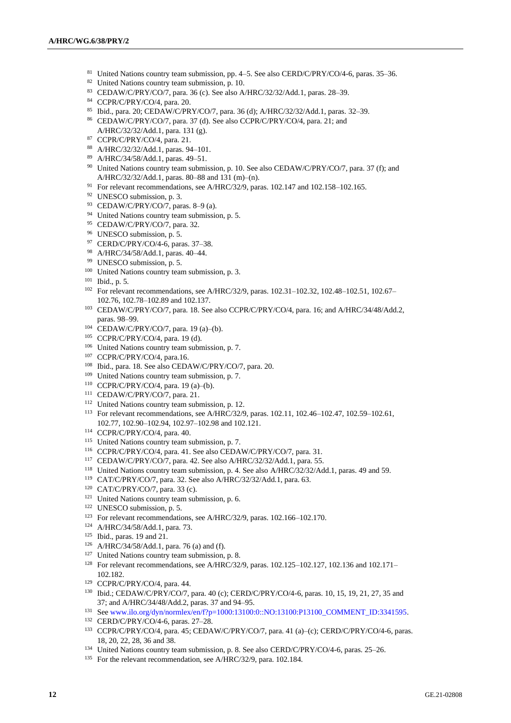- 81 United Nations country team submission, pp. 4-5. See also CERD/C/PRY/CO/4-6, paras. 35-36.
- United Nations country team submission, p. 10.
- CEDAW/C/PRY/CO/7, para. 36 (c). See also A/HRC/32/32/Add.1, paras. 28–39.
- CCPR/C/PRY/CO/4, para. 20.
- Ibid., para. 20; CEDAW/C/PRY/CO/7, para. 36 (d); A/HRC/32/32/Add.1, paras. 32–39.
- CEDAW/C/PRY/CO/7, para. 37 (d). See also CCPR/C/PRY/CO/4, para. 21; and A/HRC/32/32/Add.1, para. 131 (g).
- CCPR/C/PRY/CO/4, para. 21.
- A/HRC/32/32/Add.1, paras. 94–101.
- A/HRC/34/58/Add.1, paras. 49–51.
- <sup>90</sup> United Nations country team submission, p. 10. See also CEDAW/C/PRY/CO/7, para. 37 (f); and A/HRC/32/32/Add.1, paras. 80–88 and 131 (m)–(n).
- For relevant recommendations, see A/HRC/32/9, paras. 102.147 and 102.158–102.165.
- UNESCO submission, p. 3.
- CEDAW/C/PRY/CO/7, paras. 8–9 (a).
- <sup>94</sup> United Nations country team submission, p. 5.
- 95 CEDAW/C/PRY/CO/7, para. 32.
- UNESCO submission, p. 5.
- CERD/C/PRY/CO/4-6, paras. 37–38.
- A/HRC/34/58/Add.1, paras. 40–44.
- UNESCO submission, p. 5.
- <sup>100</sup> United Nations country team submission, p. 3.
- Ibid., p. 5.
- <sup>102</sup> For relevant recommendations, see A/HRC/32/9, paras. 102.31-102.32, 102.48-102.51, 102.67-102.76, 102.78–102.89 and 102.137.
- CEDAW/C/PRY/CO/7, para. 18. See also CCPR/C/PRY/CO/4, para. 16; and A/HRC/34/48/Add.2, paras. 98–99.
- CEDAW/C/PRY/CO/7, para. 19 (a)–(b).
- CCPR/C/PRY/CO/4, para. 19 (d).
- United Nations country team submission, p. 7.
- CCPR/C/PRY/CO/4, para.16.
- Ibid., para. 18. See also CEDAW/C/PRY/CO/7, para. 20.
- <sup>109</sup> United Nations country team submission, p. 7.
- CCPR/C/PRY/CO/4, para. 19 (a)–(b).
- CEDAW/C/PRY/CO/7, para. 21.
- <sup>112</sup> United Nations country team submission, p. 12.
- For relevant recommendations, see A/HRC/32/9, paras. 102.11, 102.46–102.47, 102.59–102.61, 102.77, 102.90–102.94, 102.97–102.98 and 102.121.
- CCPR/C/PRY/CO/4, para. 40.
- <sup>115</sup> United Nations country team submission, p. 7.
- CCPR/C/PRY/CO/4, para. 41. See also CEDAW/C/PRY/CO/7, para. 31.
- CEDAW/C/PRY/CO/7, para. 42. See also A/HRC/32/32/Add.1, para. 55.
- United Nations country team submission, p. 4. See also A/HRC/32/32/Add.1, paras. 49 and 59.
- CAT/C/PRY/CO/7, para. 32. See also A/HRC/32/32/Add.1, para. 63.
- CAT/C/PRY/CO/7, para. 33 (c).
- <sup>121</sup> United Nations country team submission, p. 6.
- UNESCO submission, p. 5.
- <sup>123</sup> For relevant recommendations, see A/HRC/32/9, paras. 102.166-102.170.
- A/HRC/34/58/Add.1, para. 73.
- Ibid., paras. 19 and 21.
- A/HRC/34/58/Add.1, para. 76 (a) and (f).
- <sup>127</sup> United Nations country team submission, p. 8.
- For relevant recommendations, see A/HRC/32/9, paras. 102.125–102.127, 102.136 and 102.171– 102.182.
- CCPR/C/PRY/CO/4, para. 44.
- Ibid.; CEDAW/C/PRY/CO/7, para. 40 (c); CERD/C/PRY/CO/4-6, paras. 10, 15, 19, 21, 27, 35 and 37; and A/HRC/34/48/Add.2, paras. 37 and 94–95.
- See [www.ilo.org/dyn/normlex/en/f?p=1000:13100:0::NO:13100:P13100\\_COMMENT\\_ID:3341595.](http://www.ilo.org/dyn/normlex/en/f?p=1000:13100:0::NO:13100:P13100_COMMENT_ID:3341595)
- CERD/C/PRY/CO/4-6, paras. 27–28.
- CCPR/C/PRY/CO/4, para. 45; CEDAW/C/PRY/CO/7, para. 41 (a)–(c); CERD/C/PRY/CO/4-6, paras. 18, 20, 22, 28, 36 and 38.
- United Nations country team submission, p. 8. See also CERD/C/PRY/CO/4-6, paras. 25–26.
- <sup>135</sup> For the relevant recommendation, see A/HRC/32/9, para. 102.184.